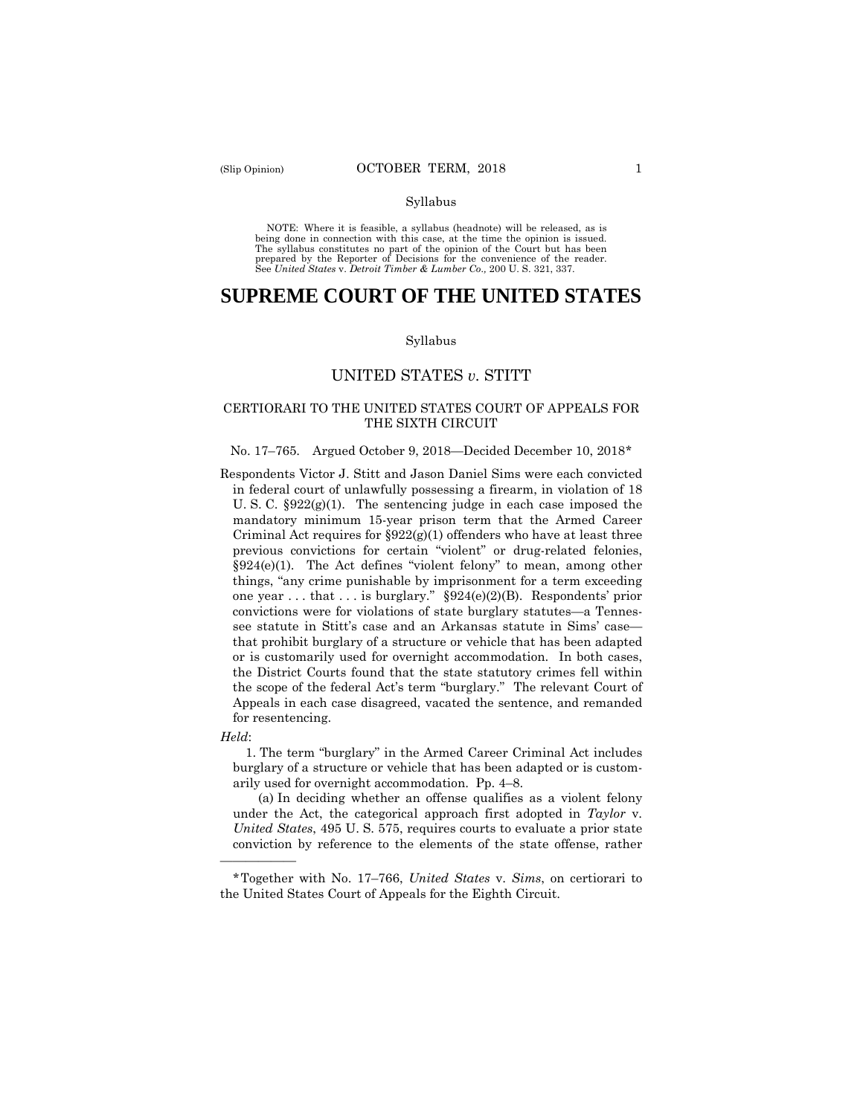#### Syllabus

NOTE: Where it is feasible, a syllabus (headnote) will be released, as is being done in connection with this case, at the time the opinion is issued. The syllabus constitutes no part of the opinion of the Court but has been<br>prepared by the Reporter of Decisions for the convenience of the reader.<br>See United States v. Detroit Timber & Lumber Co., 200 U. S. 321, 337.

# **SUPREME COURT OF THE UNITED STATES**

#### Syllabus

## UNITED STATES *v.* STITT

## CERTIORARI TO THE UNITED STATES COURT OF APPEALS FOR THE SIXTH CIRCUIT

#### No. 17–765. Argued October 9, 2018—Decided December 10, 2018[\\*](#page-0-0)

Respondents Victor J. Stitt and Jason Daniel Sims were each convicted in federal court of unlawfully possessing a firearm, in violation of 18 U. S. C. §922(g)(1). The sentencing judge in each case imposed the mandatory minimum 15-year prison term that the Armed Career Criminal Act requires for  $\S 922(g)(1)$  offenders who have at least three previous convictions for certain "violent" or drug-related felonies, §924(e)(1). The Act defines "violent felony" to mean, among other things, "any crime punishable by imprisonment for a term exceeding one year . . . that . . . is burglary." §924(e)(2)(B). Respondents' prior convictions were for violations of state burglary statutes—a Tennessee statute in Stitt's case and an Arkansas statute in Sims' case that prohibit burglary of a structure or vehicle that has been adapted or is customarily used for overnight accommodation. In both cases, the District Courts found that the state statutory crimes fell within the scope of the federal Act's term "burglary." The relevant Court of Appeals in each case disagreed, vacated the sentence, and remanded for resentencing.

*Held*:

——————

1. The term "burglary" in the Armed Career Criminal Act includes burglary of a structure or vehicle that has been adapted or is customarily used for overnight accommodation. Pp. 4–8.

 (a) In deciding whether an offense qualifies as a violent felony under the Act, the categorical approach first adopted in *Taylor* v. *United States*, 495 U. S. 575, requires courts to evaluate a prior state conviction by reference to the elements of the state offense, rather

<span id="page-0-0"></span><sup>\*</sup>Together with No. 17–766, *United States* v. *Sims*, on certiorari to the United States Court of Appeals for the Eighth Circuit.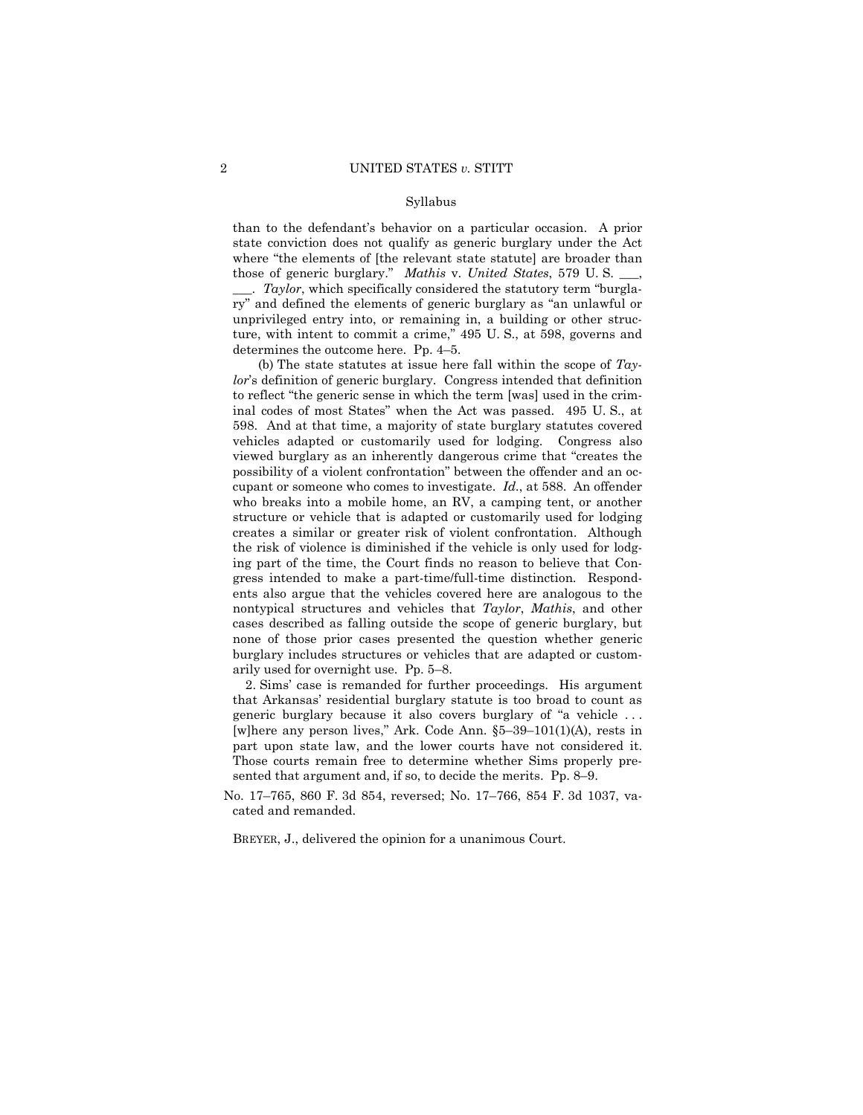#### Syllabus

than to the defendant's behavior on a particular occasion. A prior state conviction does not qualify as generic burglary under the Act where "the elements of [the relevant state statute] are broader than those of generic burglary." *Mathis* v. *United States*, 579 U. S. \_\_\_,

\_\_\_. *Taylor*, which specifically considered the statutory term "burglary" and defined the elements of generic burglary as "an unlawful or unprivileged entry into, or remaining in, a building or other structure, with intent to commit a crime," 495 U. S., at 598, governs and determines the outcome here. Pp. 4–5.

 (b) The state statutes at issue here fall within the scope of *Taylor*'s definition of generic burglary. Congress intended that definition to reflect "the generic sense in which the term [was] used in the criminal codes of most States" when the Act was passed. 495 U. S., at 598. And at that time, a majority of state burglary statutes covered vehicles adapted or customarily used for lodging. Congress also viewed burglary as an inherently dangerous crime that "creates the possibility of a violent confrontation" between the offender and an occupant or someone who comes to investigate. *Id.*, at 588. An offender who breaks into a mobile home, an RV, a camping tent, or another structure or vehicle that is adapted or customarily used for lodging creates a similar or greater risk of violent confrontation. Although the risk of violence is diminished if the vehicle is only used for lodging part of the time, the Court finds no reason to believe that Congress intended to make a part-time/full-time distinction. Respondents also argue that the vehicles covered here are analogous to the nontypical structures and vehicles that *Taylor*, *Mathis*, and other cases described as falling outside the scope of generic burglary, but none of those prior cases presented the question whether generic burglary includes structures or vehicles that are adapted or customarily used for overnight use. Pp. 5–8.

2. Sims' case is remanded for further proceedings. His argument that Arkansas' residential burglary statute is too broad to count as generic burglary because it also covers burglary of "a vehicle . . . [w]here any person lives," Ark. Code Ann. §5–39–101(1)(A), rests in part upon state law, and the lower courts have not considered it. Those courts remain free to determine whether Sims properly presented that argument and, if so, to decide the merits. Pp. 8–9.

No. 17–765, 860 F. 3d 854, reversed; No. 17–766, 854 F. 3d 1037, vacated and remanded.

BREYER, J., delivered the opinion for a unanimous Court.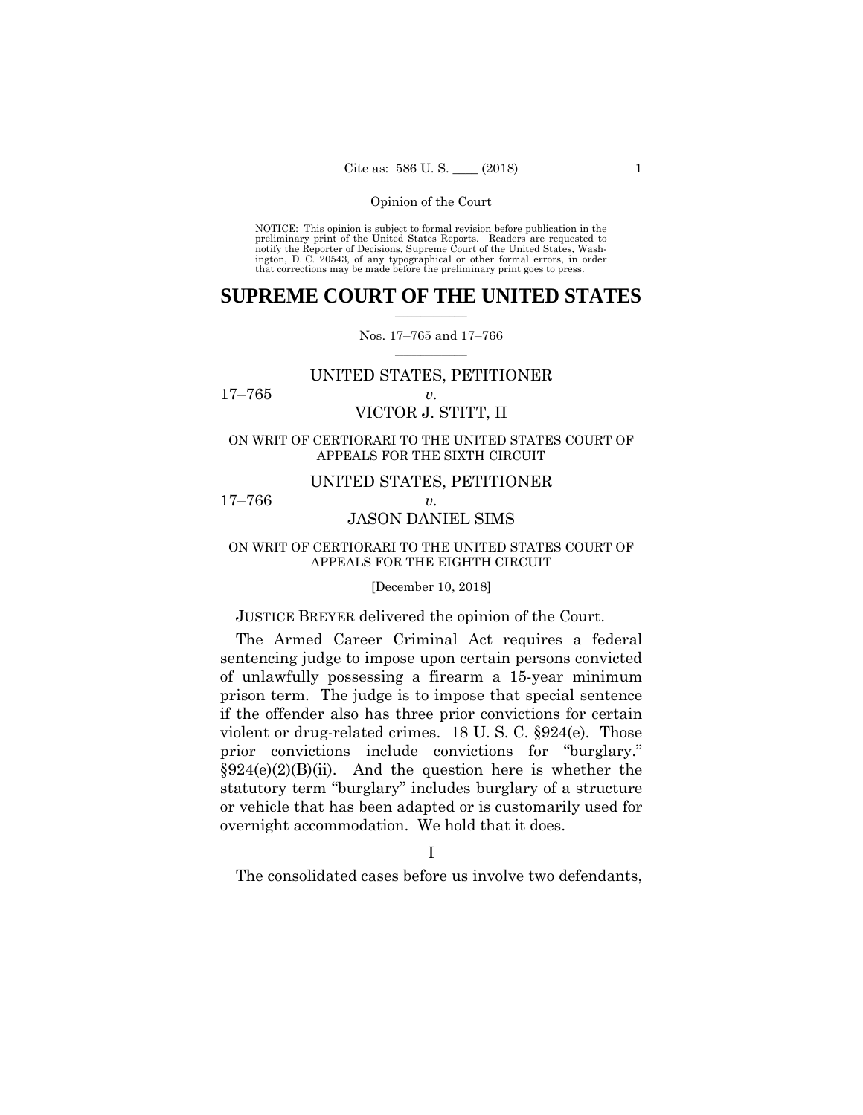NOTICE: This opinion is subject to formal revision before publication in the preliminary print of the United States Reports. Readers are requested to notify the Reporter of Decisions, Supreme Court of the United States, Wa ington, D. C. 20543, of any typographical or other formal errors, in order that corrections may be made before the preliminary print goes to press.

## **SUPREME COURT OF THE UNITED STATES**  $\overline{\phantom{a}}$  , where  $\overline{\phantom{a}}$

### Nos. 17–765 and 17–766  $\overline{\phantom{a}}$  , where  $\overline{\phantom{a}}$

## UNITED STATES, PETITIONER

17–765 *v.*

## VICTOR J. STITT, II

ON WRIT OF CERTIORARI TO THE UNITED STATES COURT OF APPEALS FOR THE SIXTH CIRCUIT

## UNITED STATES, PETITIONER

17–766 *v.*

## JASON DANIEL SIMS

## ON WRIT OF CERTIORARI TO THE UNITED STATES COURT OF APPEALS FOR THE EIGHTH CIRCUIT

#### [December 10, 2018]

## JUSTICE BREYER delivered the opinion of the Court.

The Armed Career Criminal Act requires a federal sentencing judge to impose upon certain persons convicted of unlawfully possessing a firearm a 15-year minimum prison term. The judge is to impose that special sentence if the offender also has three prior convictions for certain violent or drug-related crimes. 18 U. S. C. §924(e). Those prior convictions include convictions for "burglary."  $\S 924(e)(2)(B)(ii)$ . And the question here is whether the statutory term "burglary" includes burglary of a structure or vehicle that has been adapted or is customarily used for overnight accommodation. We hold that it does.

The consolidated cases before us involve two defendants,

I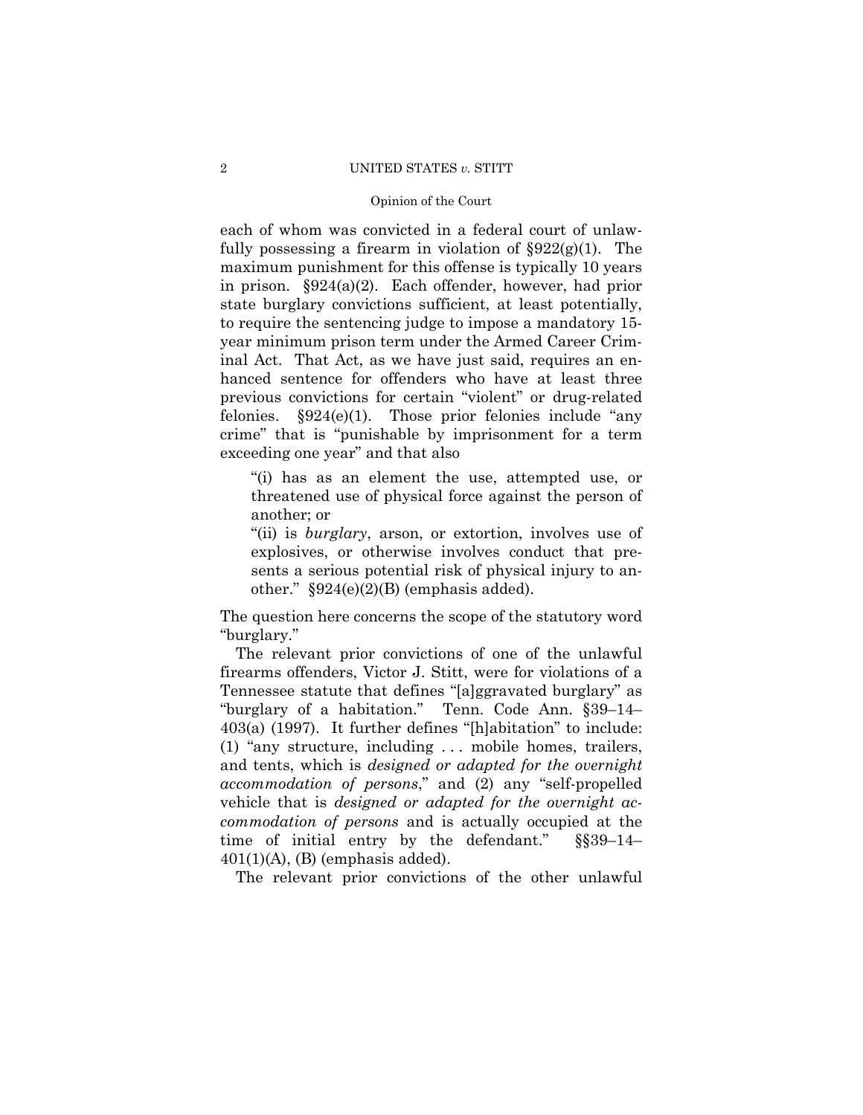## 2 UNITED STATES *v.* STITT

## Opinion of the Court

each of whom was convicted in a federal court of unlawfully possessing a firearm in violation of  $\S 922(g)(1)$ . The maximum punishment for this offense is typically 10 years in prison. §924(a)(2). Each offender, however, had prior state burglary convictions sufficient, at least potentially, to require the sentencing judge to impose a mandatory 15 year minimum prison term under the Armed Career Criminal Act. That Act, as we have just said, requires an enhanced sentence for offenders who have at least three previous convictions for certain "violent" or drug-related felonies. §924(e)(1). Those prior felonies include "any crime" that is "punishable by imprisonment for a term exceeding one year" and that also

"(i) has as an element the use, attempted use, or threatened use of physical force against the person of another; or

"(ii) is *burglary*, arson, or extortion, involves use of explosives, or otherwise involves conduct that presents a serious potential risk of physical injury to another."  $$924(e)(2)(B)$  (emphasis added).

The question here concerns the scope of the statutory word "burglary."

The relevant prior convictions of one of the unlawful firearms offenders, Victor J. Stitt, were for violations of a Tennessee statute that defines "[a]ggravated burglary" as "burglary of a habitation." Tenn. Code Ann. §39–14– 403(a) (1997). It further defines "[h]abitation" to include: (1) "any structure, including . . . mobile homes, trailers, and tents, which is *designed or adapted for the overnight accommodation of persons*," and (2) any "self-propelled vehicle that is *designed or adapted for the overnight accommodation of persons* and is actually occupied at the time of initial entry by the defendant." §§39–14–  $401(1)(A)$ , (B) (emphasis added).

The relevant prior convictions of the other unlawful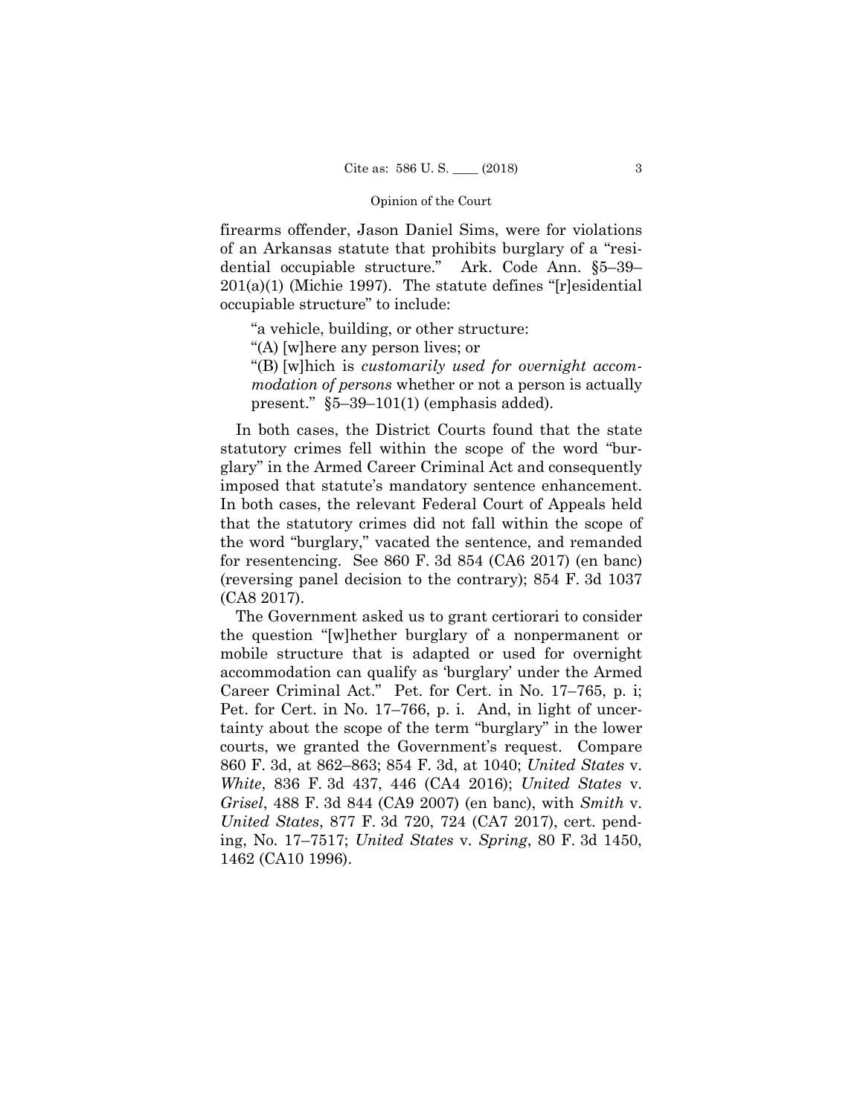firearms offender, Jason Daniel Sims, were for violations of an Arkansas statute that prohibits burglary of a "residential occupiable structure." Ark. Code Ann. §5–39– 201(a)(1) (Michie 1997). The statute defines "[r]esidential occupiable structure" to include:

"a vehicle, building, or other structure:

"(A) [w]here any person lives; or

"(B) [w]hich is *customarily used for overnight accommodation of persons* whether or not a person is actually present." §5–39–101(1) (emphasis added).

In both cases, the District Courts found that the state statutory crimes fell within the scope of the word "burglary" in the Armed Career Criminal Act and consequently imposed that statute's mandatory sentence enhancement. In both cases, the relevant Federal Court of Appeals held that the statutory crimes did not fall within the scope of the word "burglary," vacated the sentence, and remanded for resentencing. See 860 F. 3d 854 (CA6 2017) (en banc) (reversing panel decision to the contrary); 854 F. 3d 1037 (CA8 2017).

The Government asked us to grant certiorari to consider the question "[w]hether burglary of a nonpermanent or mobile structure that is adapted or used for overnight accommodation can qualify as 'burglary' under the Armed Career Criminal Act." Pet. for Cert. in No. 17–765, p. i; Pet. for Cert. in No. 17–766, p. i. And, in light of uncertainty about the scope of the term "burglary" in the lower courts, we granted the Government's request. Compare 860 F. 3d, at 862–863; 854 F. 3d, at 1040; *United States* v. *White*, 836 F. 3d 437, 446 (CA4 2016); *United States* v. *Grisel*, 488 F. 3d 844 (CA9 2007) (en banc), with *Smith* v. *United States*, 877 F. 3d 720, 724 (CA7 2017), cert. pending, No. 17–7517; *United States* v. *Spring*, 80 F. 3d 1450, 1462 (CA10 1996).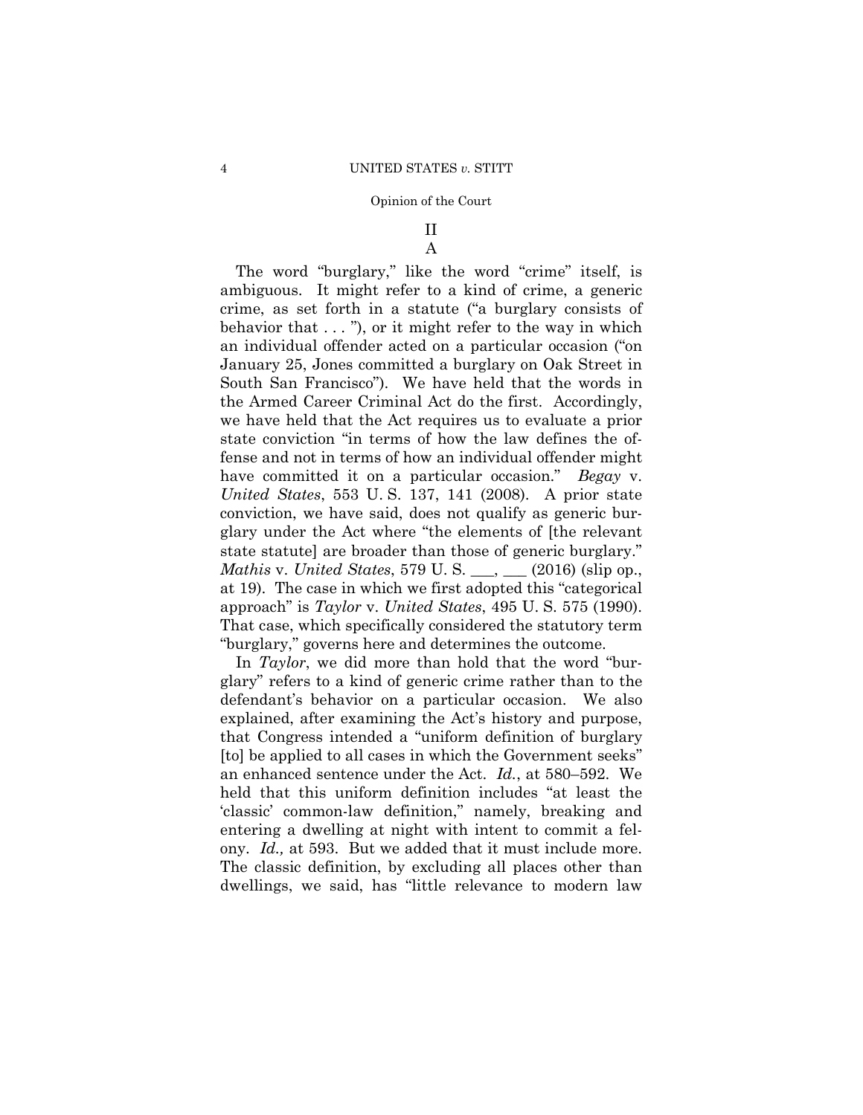## II A

The word "burglary," like the word "crime" itself, is ambiguous. It might refer to a kind of crime, a generic crime, as set forth in a statute ("a burglary consists of behavior that  $\dots$ ", or it might refer to the way in which an individual offender acted on a particular occasion ("on January 25, Jones committed a burglary on Oak Street in South San Francisco"). We have held that the words in the Armed Career Criminal Act do the first. Accordingly, we have held that the Act requires us to evaluate a prior state conviction "in terms of how the law defines the offense and not in terms of how an individual offender might have committed it on a particular occasion." *Begay* v. *United States*, 553 U. S. 137, 141 (2008). A prior state conviction, we have said, does not qualify as generic burglary under the Act where "the elements of [the relevant state statute] are broader than those of generic burglary." *Mathis* v. *United States*, 579 U. S. \_\_\_, \_\_\_ (2016) (slip op., at 19). The case in which we first adopted this "categorical approach" is *Taylor* v. *United States*, 495 U. S. 575 (1990). That case, which specifically considered the statutory term "burglary," governs here and determines the outcome.

In *Taylor*, we did more than hold that the word "burglary" refers to a kind of generic crime rather than to the defendant's behavior on a particular occasion. We also explained, after examining the Act's history and purpose, that Congress intended a "uniform definition of burglary [to] be applied to all cases in which the Government seeks" an enhanced sentence under the Act. *Id.*, at 580–592. We held that this uniform definition includes "at least the 'classic' common-law definition," namely, breaking and entering a dwelling at night with intent to commit a felony. *Id.,* at 593. But we added that it must include more. The classic definition, by excluding all places other than dwellings, we said, has "little relevance to modern law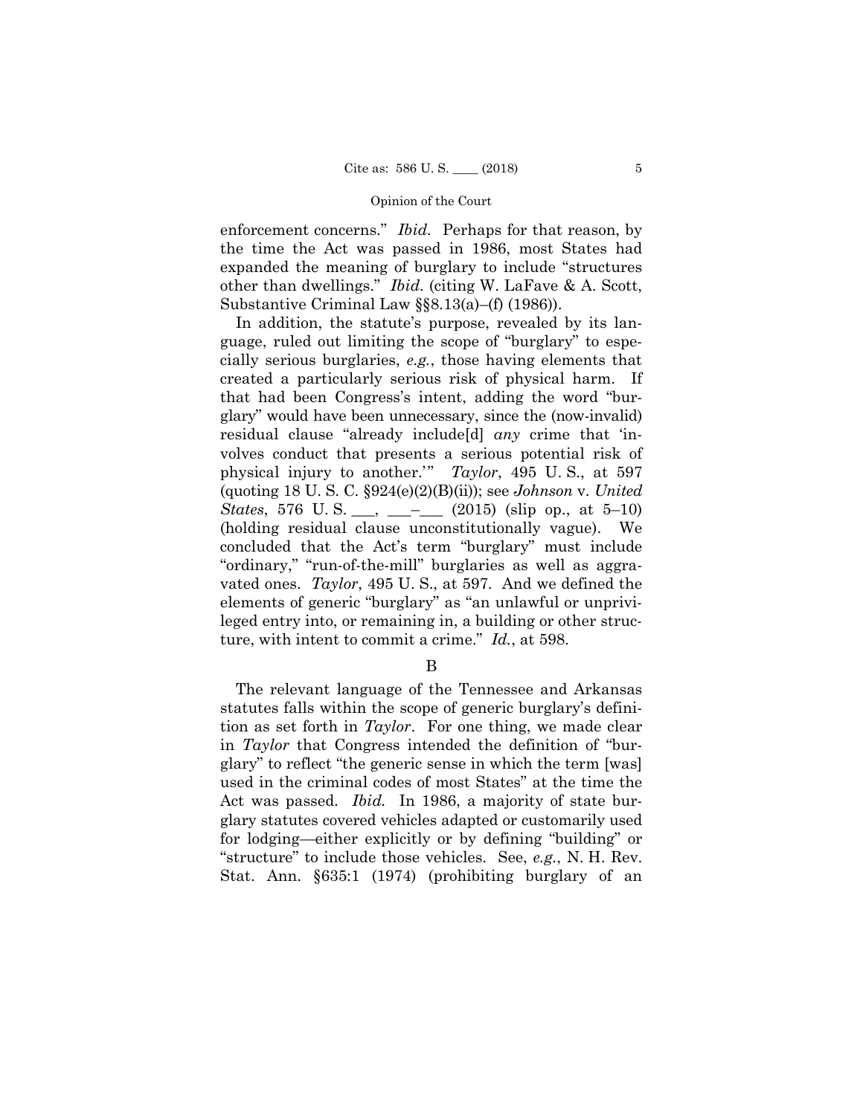enforcement concerns." *Ibid.* Perhaps for that reason, by the time the Act was passed in 1986, most States had expanded the meaning of burglary to include "structures other than dwellings." *Ibid.* (citing W. LaFave & A. Scott, Substantive Criminal Law §§8.13(a)–(f) (1986)).

In addition, the statute's purpose, revealed by its language, ruled out limiting the scope of "burglary" to especially serious burglaries, *e.g.*, those having elements that created a particularly serious risk of physical harm. If that had been Congress's intent, adding the word "burglary" would have been unnecessary, since the (now-invalid) residual clause "already include[d] *any* crime that 'involves conduct that presents a serious potential risk of physical injury to another.'" *Taylor*, 495 U. S., at 597 (quoting 18 U. S. C. §924(e)(2)(B)(ii)); see *Johnson* v. *United States*, 576 U.S. \_\_, \_\_- \_\_ (2015) (slip op., at 5–10) (holding residual clause unconstitutionally vague). We concluded that the Act's term "burglary" must include "ordinary," "run-of-the-mill" burglaries as well as aggravated ones. *Taylor*, 495 U. S., at 597. And we defined the elements of generic "burglary" as "an unlawful or unprivileged entry into, or remaining in, a building or other structure, with intent to commit a crime." *Id.*, at 598.

B

The relevant language of the Tennessee and Arkansas statutes falls within the scope of generic burglary's definition as set forth in *Taylor*. For one thing, we made clear in *Taylor* that Congress intended the definition of "burglary" to reflect "the generic sense in which the term [was] used in the criminal codes of most States" at the time the Act was passed. *Ibid.* In 1986, a majority of state burglary statutes covered vehicles adapted or customarily used for lodging—either explicitly or by defining "building" or "structure" to include those vehicles. See, *e.g.*, N. H. Rev. Stat. Ann. §635:1 (1974) (prohibiting burglary of an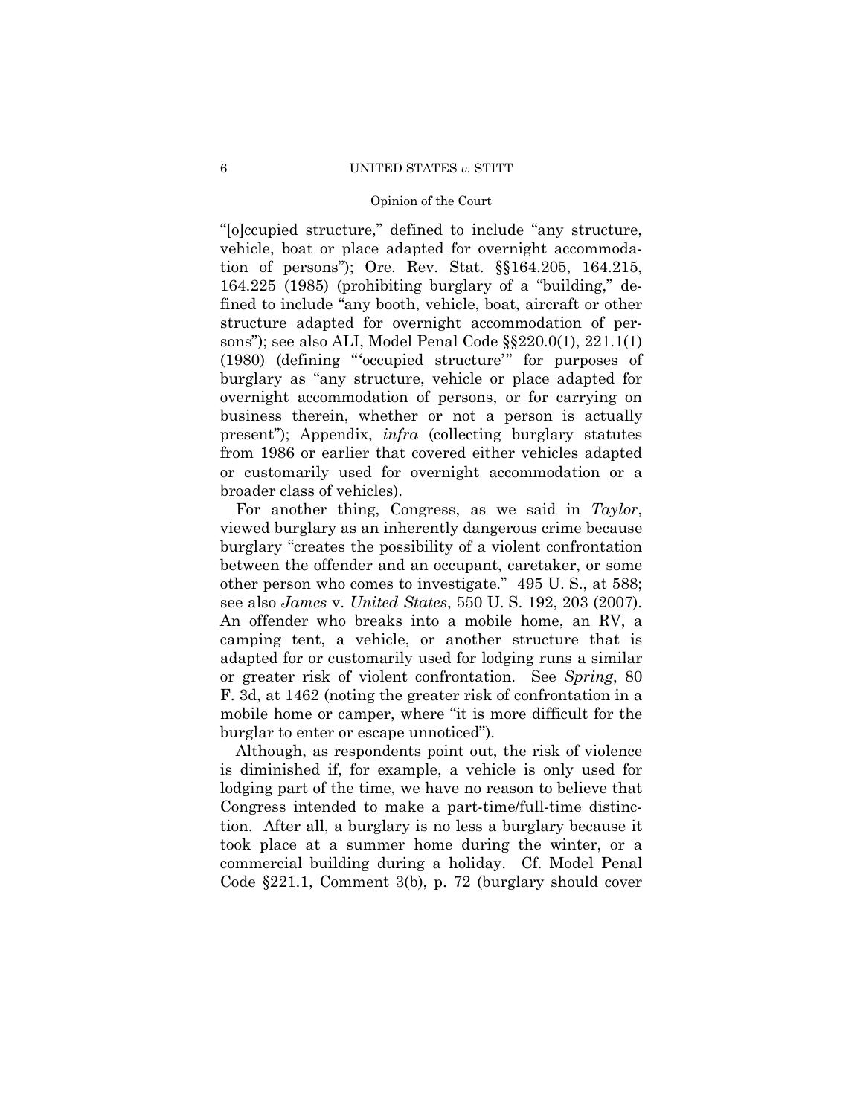### 6 UNITED STATES *v.* STITT

## Opinion of the Court

"[o]ccupied structure," defined to include "any structure, vehicle, boat or place adapted for overnight accommodation of persons"); Ore. Rev. Stat. §§164.205, 164.215, 164.225 (1985) (prohibiting burglary of a "building," defined to include "any booth, vehicle, boat, aircraft or other structure adapted for overnight accommodation of persons"); see also ALI, Model Penal Code §§220.0(1), 221.1(1) (1980) (defining "'occupied structure'" for purposes of burglary as "any structure, vehicle or place adapted for overnight accommodation of persons, or for carrying on business therein, whether or not a person is actually present"); Appendix, *infra* (collecting burglary statutes from 1986 or earlier that covered either vehicles adapted or customarily used for overnight accommodation or a broader class of vehicles).

For another thing, Congress, as we said in *Taylor*, viewed burglary as an inherently dangerous crime because burglary "creates the possibility of a violent confrontation between the offender and an occupant, caretaker, or some other person who comes to investigate." 495 U. S., at 588; see also *James* v. *United States*, 550 U. S. 192, 203 (2007). An offender who breaks into a mobile home, an RV, a camping tent, a vehicle, or another structure that is adapted for or customarily used for lodging runs a similar or greater risk of violent confrontation. See *Spring*, 80 F. 3d, at 1462 (noting the greater risk of confrontation in a mobile home or camper, where "it is more difficult for the burglar to enter or escape unnoticed").

Although, as respondents point out, the risk of violence is diminished if, for example, a vehicle is only used for lodging part of the time, we have no reason to believe that Congress intended to make a part-time/full-time distinction. After all, a burglary is no less a burglary because it took place at a summer home during the winter, or a commercial building during a holiday. Cf. Model Penal Code §221.1, Comment 3(b), p. 72 (burglary should cover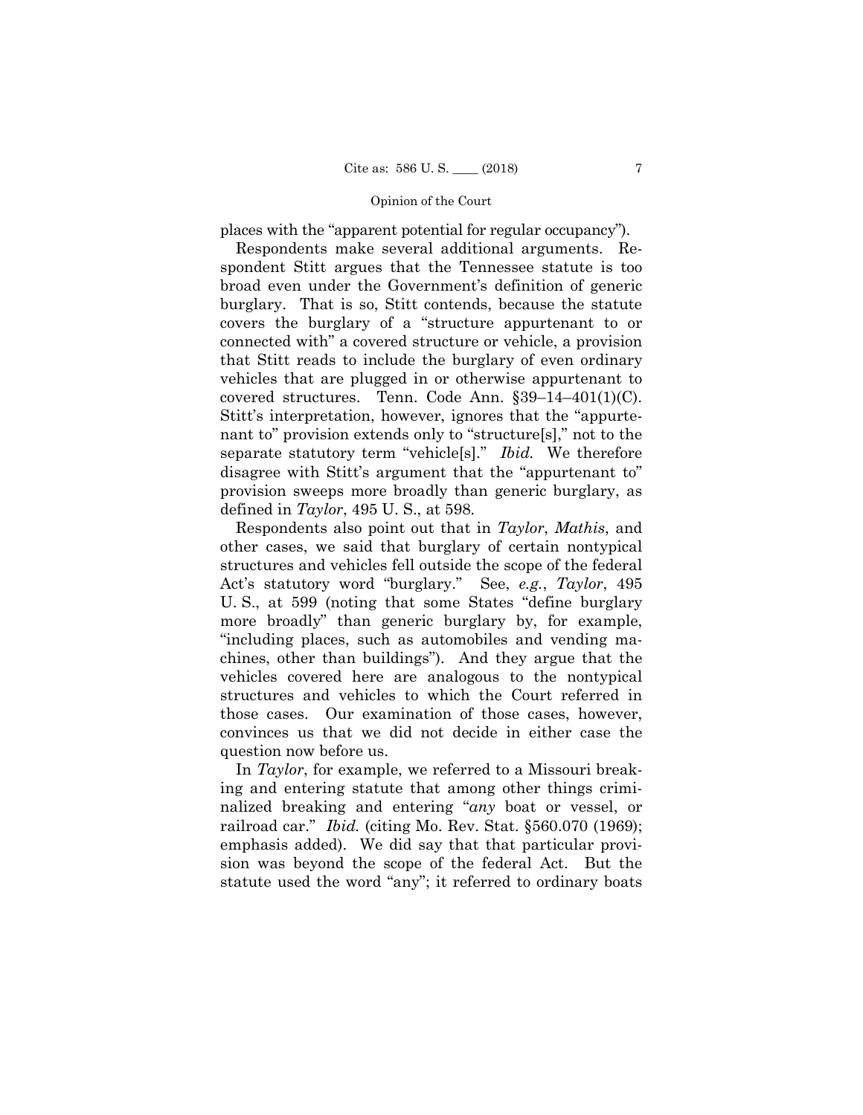places with the "apparent potential for regular occupancy").

Respondents make several additional arguments. Respondent Stitt argues that the Tennessee statute is too broad even under the Government's definition of generic burglary. That is so, Stitt contends, because the statute covers the burglary of a "structure appurtenant to or connected with" a covered structure or vehicle, a provision that Stitt reads to include the burglary of even ordinary vehicles that are plugged in or otherwise appurtenant to covered structures. Tenn. Code Ann. §39–14–401(1)(C). Stitt's interpretation, however, ignores that the "appurtenant to" provision extends only to "structure[s]," not to the separate statutory term "vehicle[s]." *Ibid.* We therefore disagree with Stitt's argument that the "appurtenant to" provision sweeps more broadly than generic burglary, as defined in *Taylor*, 495 U. S., at 598.

Respondents also point out that in *Taylor*, *Mathis*, and other cases, we said that burglary of certain nontypical structures and vehicles fell outside the scope of the federal Act's statutory word "burglary." See, *e.g.*, *Taylor*, 495 U. S., at 599 (noting that some States "define burglary more broadly" than generic burglary by, for example, "including places, such as automobiles and vending machines, other than buildings"). And they argue that the vehicles covered here are analogous to the nontypical structures and vehicles to which the Court referred in those cases. Our examination of those cases, however, convinces us that we did not decide in either case the question now before us.

In *Taylor*, for example, we referred to a Missouri breaking and entering statute that among other things criminalized breaking and entering "*any* boat or vessel, or railroad car." *Ibid.* (citing Mo. Rev. Stat. §560.070 (1969); emphasis added). We did say that that particular provision was beyond the scope of the federal Act. But the statute used the word "any"; it referred to ordinary boats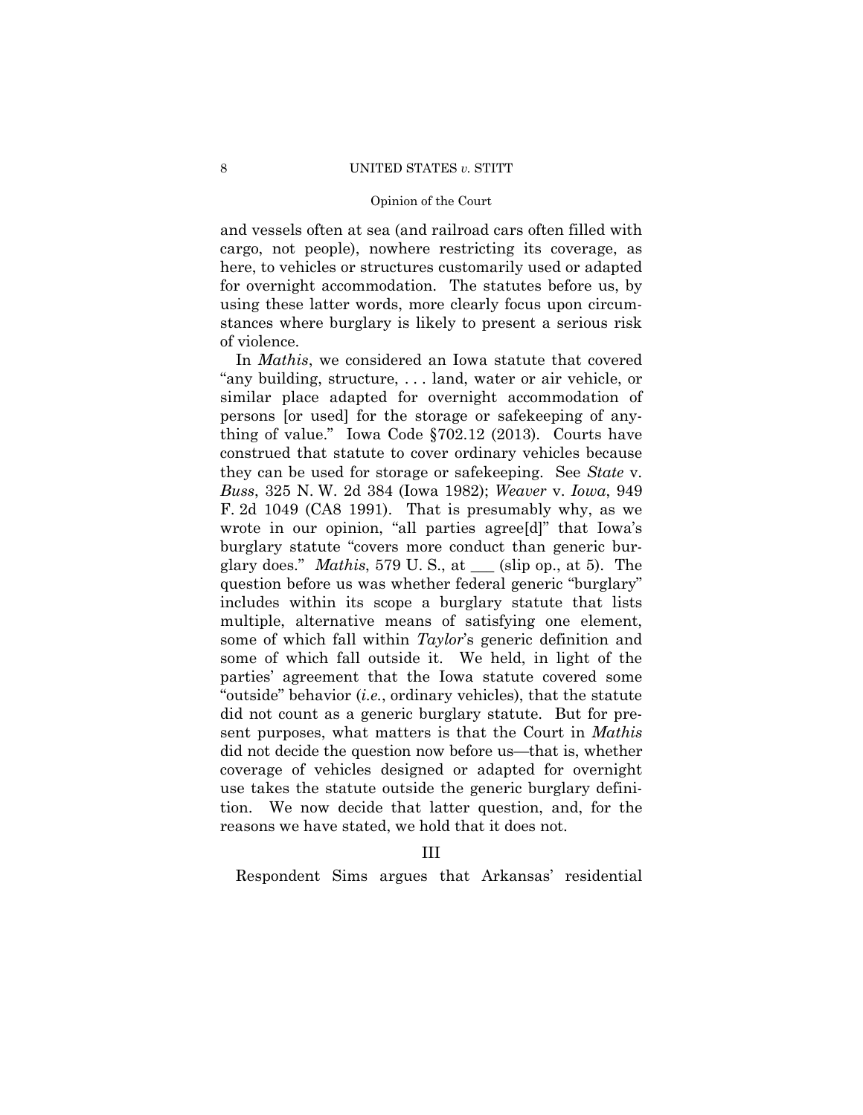#### 8 UNITED STATES *v*. STITT

## Opinion of the Court

and vessels often at sea (and railroad cars often filled with cargo, not people), nowhere restricting its coverage, as here, to vehicles or structures customarily used or adapted for overnight accommodation. The statutes before us, by using these latter words, more clearly focus upon circumstances where burglary is likely to present a serious risk of violence.

In *Mathis*, we considered an Iowa statute that covered "any building, structure, . . . land, water or air vehicle, or similar place adapted for overnight accommodation of persons [or used] for the storage or safekeeping of anything of value." Iowa Code §702.12 (2013). Courts have construed that statute to cover ordinary vehicles because they can be used for storage or safekeeping. See *State* v. *Buss*, 325 N. W. 2d 384 (Iowa 1982); *Weaver* v. *Iowa*, 949 F. 2d 1049 (CA8 1991). That is presumably why, as we wrote in our opinion, "all parties agree[d]" that Iowa's burglary statute "covers more conduct than generic burglary does." *Mathis*, 579 U. S., at \_\_\_ (slip op., at 5). The question before us was whether federal generic "burglary" includes within its scope a burglary statute that lists multiple, alternative means of satisfying one element, some of which fall within *Taylor*'s generic definition and some of which fall outside it. We held, in light of the parties' agreement that the Iowa statute covered some "outside" behavior (*i.e.*, ordinary vehicles), that the statute did not count as a generic burglary statute. But for present purposes, what matters is that the Court in *Mathis* did not decide the question now before us—that is, whether coverage of vehicles designed or adapted for overnight use takes the statute outside the generic burglary definition. We now decide that latter question, and, for the reasons we have stated, we hold that it does not.

III

Respondent Sims argues that Arkansas' residential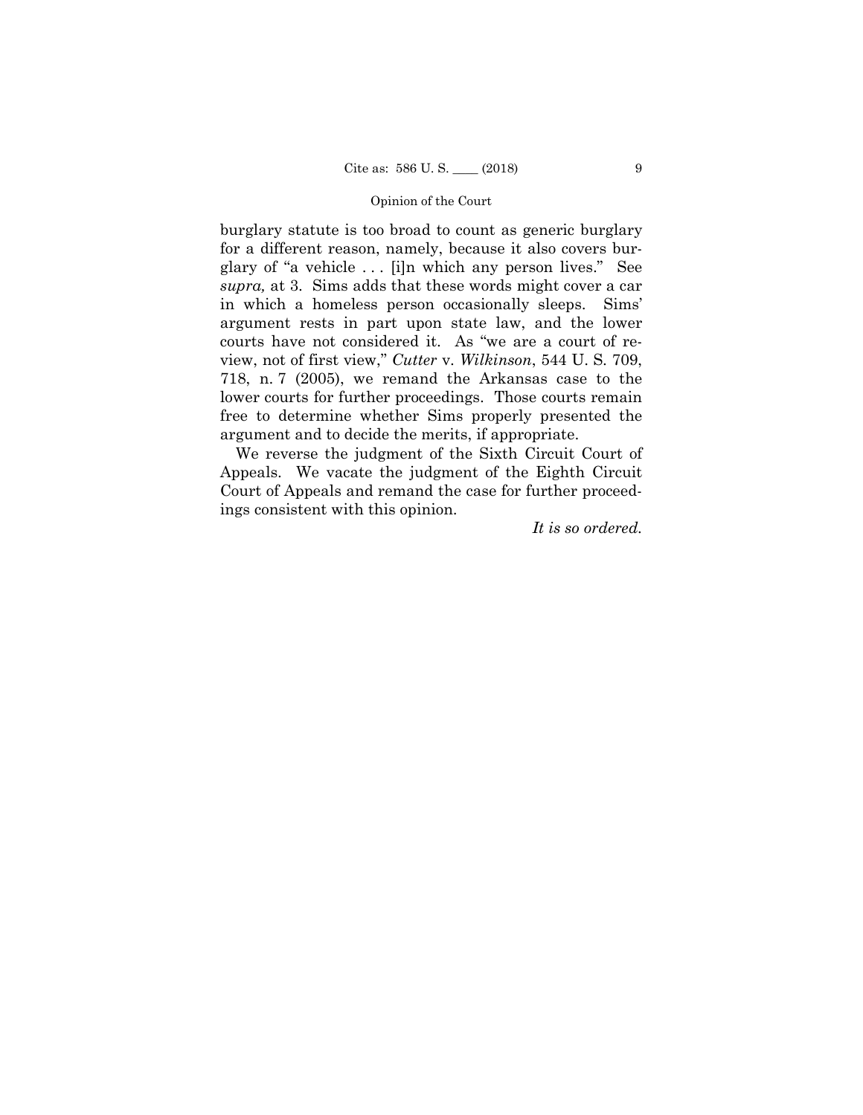burglary statute is too broad to count as generic burglary for a different reason, namely, because it also covers burglary of "a vehicle . . . [i]n which any person lives." See *supra,* at 3. Sims adds that these words might cover a car in which a homeless person occasionally sleeps. Sims' argument rests in part upon state law, and the lower courts have not considered it. As "we are a court of review, not of first view," *Cutter* v. *Wilkinson*, 544 U. S. 709, 718, n. 7 (2005), we remand the Arkansas case to the lower courts for further proceedings. Those courts remain free to determine whether Sims properly presented the argument and to decide the merits, if appropriate.

 We reverse the judgment of the Sixth Circuit Court of Appeals. We vacate the judgment of the Eighth Circuit Court of Appeals and remand the case for further proceedings consistent with this opinion.

*It is so ordered.*